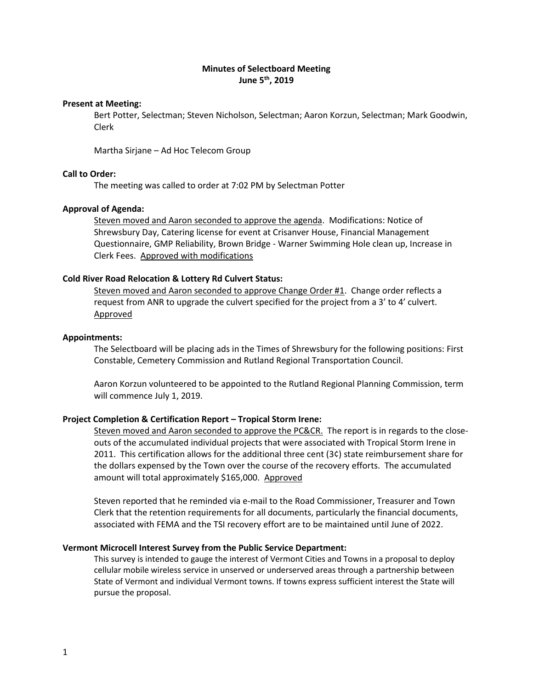# **Minutes of Selectboard Meeting June 5 th, 2019**

#### **Present at Meeting:**

Bert Potter, Selectman; Steven Nicholson, Selectman; Aaron Korzun, Selectman; Mark Goodwin, Clerk

Martha Sirjane – Ad Hoc Telecom Group

## **Call to Order:**

The meeting was called to order at 7:02 PM by Selectman Potter

#### **Approval of Agenda:**

Steven moved and Aaron seconded to approve the agenda. Modifications: Notice of Shrewsbury Day, Catering license for event at Crisanver House, Financial Management Questionnaire, GMP Reliability, Brown Bridge - Warner Swimming Hole clean up, Increase in Clerk Fees. Approved with modifications

### **Cold River Road Relocation & Lottery Rd Culvert Status:**

Steven moved and Aaron seconded to approve Change Order #1. Change order reflects a request from ANR to upgrade the culvert specified for the project from a 3' to 4' culvert. Approved

#### **Appointments:**

The Selectboard will be placing ads in the Times of Shrewsbury for the following positions: First Constable, Cemetery Commission and Rutland Regional Transportation Council.

Aaron Korzun volunteered to be appointed to the Rutland Regional Planning Commission, term will commence July 1, 2019.

#### **Project Completion & Certification Report – Tropical Storm Irene:**

Steven moved and Aaron seconded to approve the PC&CR. The report is in regards to the closeouts of the accumulated individual projects that were associated with Tropical Storm Irene in 2011. This certification allows for the additional three cent (3¢) state reimbursement share for the dollars expensed by the Town over the course of the recovery efforts. The accumulated amount will total approximately \$165,000. Approved

Steven reported that he reminded via e-mail to the Road Commissioner, Treasurer and Town Clerk that the retention requirements for all documents, particularly the financial documents, associated with FEMA and the TSI recovery effort are to be maintained until June of 2022.

### **Vermont Microcell Interest Survey from the Public Service Department:**

This survey is intended to gauge the interest of Vermont Cities and Towns in a proposal to deploy cellular mobile wireless service in unserved or underserved areas through a partnership between State of Vermont and individual Vermont towns. If towns express sufficient interest the State will pursue the proposal.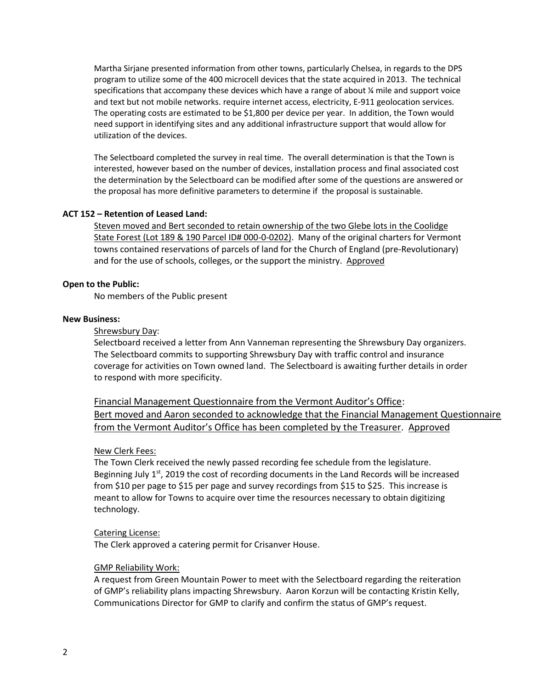Martha Sirjane presented information from other towns, particularly Chelsea, in regards to the DPS program to utilize some of the 400 microcell devices that the state acquired in 2013. The technical specifications that accompany these devices which have a range of about  $\frac{1}{4}$  mile and support voice and text but not mobile networks. require internet access, electricity, E-911 geolocation services. The operating costs are estimated to be \$1,800 per device per year. In addition, the Town would need support in identifying sites and any additional infrastructure support that would allow for utilization of the devices.

The Selectboard completed the survey in real time. The overall determination is that the Town is interested, however based on the number of devices, installation process and final associated cost the determination by the Selectboard can be modified after some of the questions are answered or the proposal has more definitive parameters to determine if the proposal is sustainable.

## **ACT 152 – Retention of Leased Land:**

Steven moved and Bert seconded to retain ownership of the two Glebe lots in the Coolidge State Forest (Lot 189 & 190 Parcel ID# 000-0-0202). Many of the original charters for Vermont towns contained reservations of parcels of land for the Church of England (pre-Revolutionary) and for the use of schools, colleges, or the support the ministry. Approved

### **Open to the Public:**

No members of the Public present

### **New Business:**

## Shrewsbury Day:

Selectboard received a letter from Ann Vanneman representing the Shrewsbury Day organizers. The Selectboard commits to supporting Shrewsbury Day with traffic control and insurance coverage for activities on Town owned land. The Selectboard is awaiting further details in order to respond with more specificity.

Financial Management Questionnaire from the Vermont Auditor's Office: Bert moved and Aaron seconded to acknowledge that the Financial Management Questionnaire from the Vermont Auditor's Office has been completed by the Treasurer. Approved

### New Clerk Fees:

The Town Clerk received the newly passed recording fee schedule from the legislature. Beginning July  $1<sup>st</sup>$ , 2019 the cost of recording documents in the Land Records will be increased from \$10 per page to \$15 per page and survey recordings from \$15 to \$25. This increase is meant to allow for Towns to acquire over time the resources necessary to obtain digitizing technology.

# Catering License:

The Clerk approved a catering permit for Crisanver House.

### GMP Reliability Work:

A request from Green Mountain Power to meet with the Selectboard regarding the reiteration of GMP's reliability plans impacting Shrewsbury. Aaron Korzun will be contacting Kristin Kelly, Communications Director for GMP to clarify and confirm the status of GMP's request.